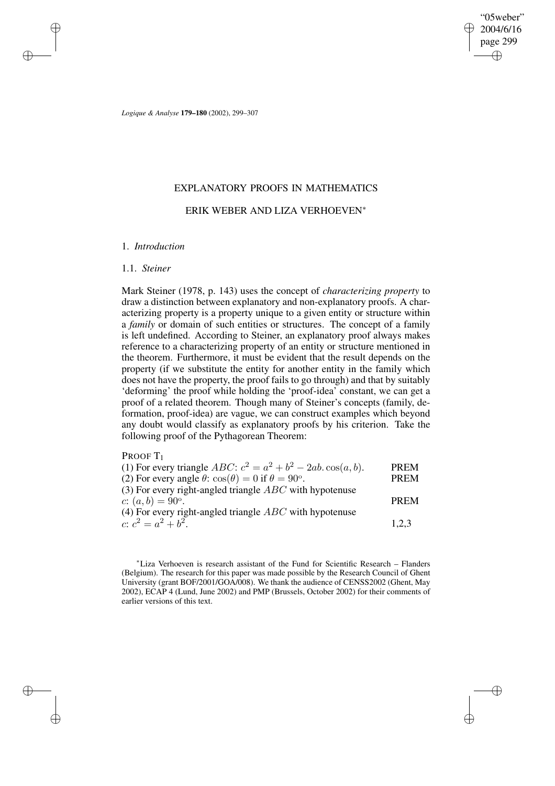"05weber" 2004/6/16 page 299 ✐ ✐

✐

✐

*Logique & Analyse* **179–180** (2002), 299–307

## EXPLANATORY PROOFS IN MATHEMATICS

## ERIK WEBER AND LIZA VERHOEVEN<sup>∗</sup>

#### 1. *Introduction*

#### 1.1. *Steiner*

✐

✐

✐

✐

Mark Steiner (1978, p. 143) uses the concept of *characterizing property* to draw a distinction between explanatory and non-explanatory proofs. A characterizing property is a property unique to a given entity or structure within a *family* or domain of such entities or structures. The concept of a family is left undefined. According to Steiner, an explanatory proof always makes reference to a characterizing property of an entity or structure mentioned in the theorem. Furthermore, it must be evident that the result depends on the property (if we substitute the entity for another entity in the family which does not have the property, the proof fails to go through) and that by suitably 'deforming' the proof while holding the 'proof-idea' constant, we can get a proof of a related theorem. Though many of Steiner's concepts (family, deformation, proof-idea) are vague, we can construct examples which beyond any doubt would classify as explanatory proofs by his criterion. Take the following proof of the Pythagorean Theorem:

PROOF<sub>T1</sub>

| (1) For every triangle ABC: $c^2 = a^2 + b^2 - 2ab \cos(a, b)$ .             | <b>PREM</b> |
|------------------------------------------------------------------------------|-------------|
| (2) For every angle $\theta$ : $\cos(\theta) = 0$ if $\theta = 90^{\circ}$ . | <b>PREM</b> |
| (3) For every right-angled triangle $ABC$ with hypotenuse                    |             |
| c: $(a, b) = 90^{\circ}$ .                                                   | <b>PREM</b> |
| (4) For every right-angled triangle $ABC$ with hypotenuse                    |             |
| c: $c^2 = a^2 + b^2$ .                                                       | 1.2.3       |
|                                                                              |             |

<sup>∗</sup>Liza Verhoeven is research assistant of the Fund for Scientific Research – Flanders (Belgium). The research for this paper was made possible by the Research Council of Ghent University (grant BOF/2001/GOA/008). We thank the audience of CENSS2002 (Ghent, May 2002), ECAP 4 (Lund, June 2002) and PMP (Brussels, October 2002) for their comments of earlier versions of this text.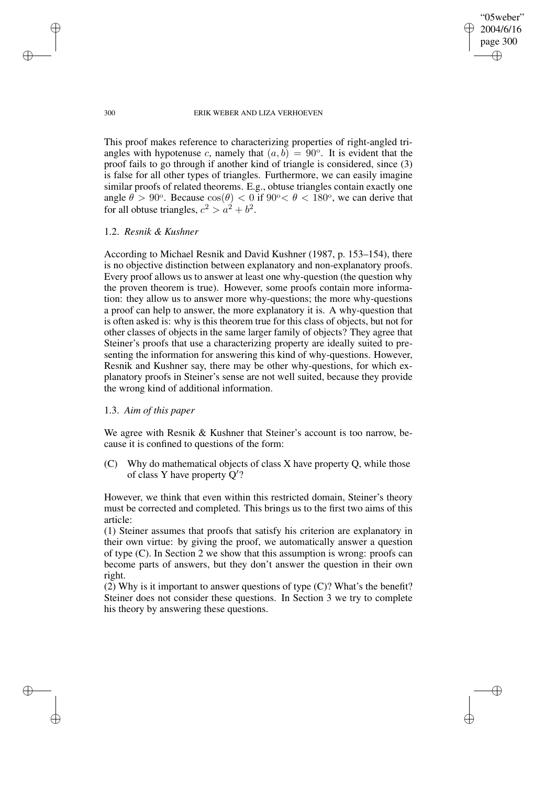✐

✐

#### 300 ERIK WEBER AND LIZA VERHOEVEN

This proof makes reference to characterizing properties of right-angled triangles with hypotenuse c, namely that  $(a, b) = 90^\circ$ . It is evident that the proof fails to go through if another kind of triangle is considered, since (3) is false for all other types of triangles. Furthermore, we can easily imagine similar proofs of related theorems. E.g., obtuse triangles contain exactly one angle  $\theta > 90^\circ$ . Because  $\cos(\theta) < 0$  if  $90^\circ < \theta < 180^\circ$ , we can derive that for all obtuse triangles,  $c^2 > a^2 + b^2$ .

## 1.2. *Resnik & Kushner*

According to Michael Resnik and David Kushner (1987, p. 153–154), there is no objective distinction between explanatory and non-explanatory proofs. Every proof allows us to answer at least one why-question (the question why the proven theorem is true). However, some proofs contain more information: they allow us to answer more why-questions; the more why-questions a proof can help to answer, the more explanatory it is. A why-question that is often asked is: why is this theorem true for this class of objects, but not for other classes of objects in the same larger family of objects? They agree that Steiner's proofs that use a characterizing property are ideally suited to presenting the information for answering this kind of why-questions. However, Resnik and Kushner say, there may be other why-questions, for which explanatory proofs in Steiner's sense are not well suited, because they provide the wrong kind of additional information.

#### 1.3. *Aim of this paper*

We agree with Resnik & Kushner that Steiner's account is too narrow, because it is confined to questions of the form:

(C) Why do mathematical objects of class X have property Q, while those of class Y have property  $Q'$ ?

However, we think that even within this restricted domain, Steiner's theory must be corrected and completed. This brings us to the first two aims of this article:

(1) Steiner assumes that proofs that satisfy his criterion are explanatory in their own virtue: by giving the proof, we automatically answer a question of type (C). In Section 2 we show that this assumption is wrong: proofs can become parts of answers, but they don't answer the question in their own right.

(2) Why is it important to answer questions of type (C)? What's the benefit? Steiner does not consider these questions. In Section 3 we try to complete his theory by answering these questions.

✐

✐

✐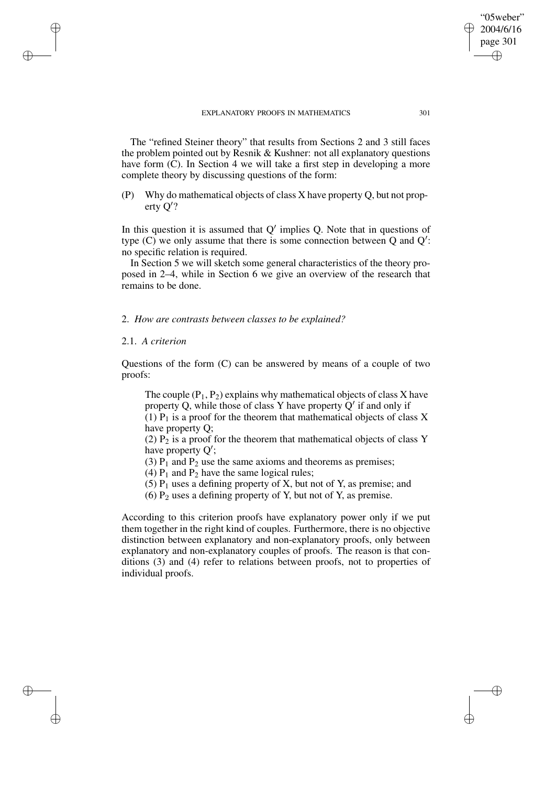The "refined Steiner theory" that results from Sections 2 and 3 still faces the problem pointed out by Resnik & Kushner: not all explanatory questions have form (C). In Section 4 we will take a first step in developing a more complete theory by discussing questions of the form:

(P) Why do mathematical objects of class X have property Q, but not property  $Q$ ?

In this question it is assumed that  $Q'$  implies Q. Note that in questions of type  $(C)$  we only assume that there is some connection between  $Q$  and  $Q'$ : no specific relation is required.

In Section 5 we will sketch some general characteristics of the theory proposed in 2–4, while in Section 6 we give an overview of the research that remains to be done.

2. *How are contrasts between classes to be explained?*

## 2.1. *A criterion*

✐

✐

✐

✐

Questions of the form (C) can be answered by means of a couple of two proofs:

The couple  $(P_1, P_2)$  explains why mathematical objects of class X have property Q, while those of class Y have property  $Q'$  if and only if (1)  $P_1$  is a proof for the theorem that mathematical objects of class X have property Q;

(2)  $P_2$  is a proof for the theorem that mathematical objects of class Y have property  $Q'$ ;

(3)  $P_1$  and  $P_2$  use the same axioms and theorems as premises;

(4)  $P_1$  and  $P_2$  have the same logical rules;

(5)  $P_1$  uses a defining property of X, but not of Y, as premise; and

(6)  $P_2$  uses a defining property of Y, but not of Y, as premise.

According to this criterion proofs have explanatory power only if we put them together in the right kind of couples. Furthermore, there is no objective distinction between explanatory and non-explanatory proofs, only between explanatory and non-explanatory couples of proofs. The reason is that conditions (3) and (4) refer to relations between proofs, not to properties of individual proofs.

"05weber" 2004/6/16 page 301

✐

✐

✐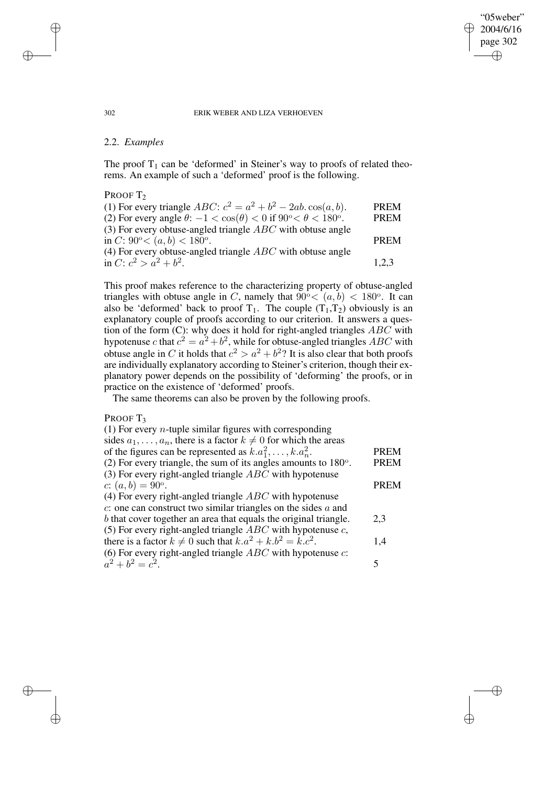# 2004/6/16 page 302 ✐

✐

✐

"05weber"

✐

#### 302 ERIK WEBER AND LIZA VERHOEVEN

## 2.2. *Examples*

The proof  $T_1$  can be 'deformed' in Steiner's way to proofs of related theorems. An example of such a 'deformed' proof is the following.

PROOF T<sub>2</sub>

| (1) For every triangle <i>ABC</i> : $c^2 = a^2 + b^2 - 2ab \cdot cos(a, b)$ .                   | <b>PREM</b> |
|-------------------------------------------------------------------------------------------------|-------------|
| (2) For every angle $\theta$ : $-1 < \cos(\theta) < 0$ if $90^{\circ} < \theta < 180^{\circ}$ . | <b>PREM</b> |
| (3) For every obtuse-angled triangle $ABC$ with obtuse angle                                    |             |
| in C: $90^{\circ} < (a, b) < 180^{\circ}$ .                                                     | <b>PREM</b> |
| (4) For every obtuse-angled triangle $ABC$ with obtuse angle                                    |             |
| in C: $c^2 > a^2 + b^2$ .                                                                       | 1.2.3       |

This proof makes reference to the characterizing property of obtuse-angled triangles with obtuse angle in C, namely that  $\widetilde{90^{\circ}} < (a, b) < 180^{\circ}$ . It can also be 'deformed' back to proof  $T_1$ . The couple  $(T_1, T_2)$  obviously is an explanatory couple of proofs according to our criterion. It answers a question of the form (C): why does it hold for right-angled triangles  $ABC$  with hypotenuse c that  $c^2 = a^2 + b^2$ , while for obtuse-angled triangles ABC with obtuse angle in C it holds that  $c^2 > a^2 + b^2$ ? It is also clear that both proofs are individually explanatory according to Steiner's criterion, though their explanatory power depends on the possibility of 'deforming' the proofs, or in practice on the existence of 'deformed' proofs.

The same theorems can also be proven by the following proofs.

#### PROOF T<sub>3</sub>

(1) For every *n*-tuple similar figures with corresponding sides  $a_1, \ldots, a_n$ , there is a factor  $k \neq 0$  for which the areas of the figures can be represented as  $k.a_1^2, \ldots, k.a_n^2$ . PREM (2) For every triangle, the sum of its angles amounts to  $180^\circ$ . . PREM (3) For every right-angled triangle  $ABC$  with hypotenuse c:  $(a, b) = 90^{\circ}$ . . PREM (4) For every right-angled triangle ABC with hypotenuse  $c$ : one can construct two similar triangles on the sides  $a$  and b that cover together an area that equals the original triangle. 2,3 (5) For every right-angled triangle  $ABC$  with hypotenuse  $c$ , there is a factor  $k \neq 0$  such that  $k.a^2 + k.b^2 = \overline{k.c^2}$ . . 1,4 (6) For every right-angled triangle  $ABC$  with hypotenuse  $c$ :  $a^2 + b^2 = c^2$ . 5

✐

✐

✐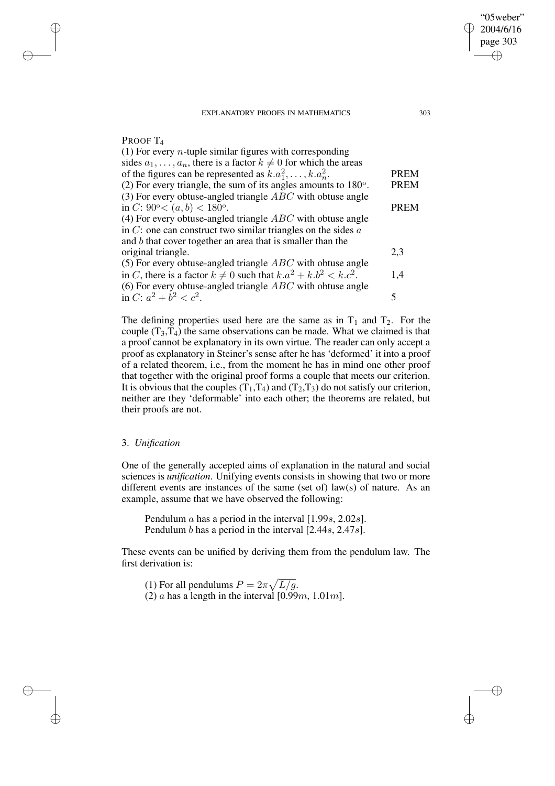| PROOF T <sub>4</sub> |  |
|----------------------|--|
|                      |  |

✐

✐

✐

✐

| (1) For every <i>n</i> -tuple similar figures with corresponding            |             |
|-----------------------------------------------------------------------------|-------------|
| sides $a_1, \ldots, a_n$ , there is a factor $k \neq 0$ for which the areas |             |
| of the figures can be represented as $k.a_1^2, \ldots, k.a_n^2$ .           | <b>PREM</b> |
| (2) For every triangle, the sum of its angles amounts to $180^{\circ}$ .    | <b>PREM</b> |
| (3) For every obtuse-angled triangle $ABC$ with obtuse angle                |             |
| in C: $90^{\circ} < (a, b) < 180^{\circ}$ .                                 | <b>PREM</b> |
| (4) For every obtuse-angled triangle $ABC$ with obtuse angle                |             |
| in $C$ : one can construct two similar triangles on the sides $a$           |             |
| and $b$ that cover together an area that is smaller than the                |             |
| original triangle.                                                          | 2,3         |
| (5) For every obtuse-angled triangle $ABC$ with obtuse angle                |             |
| in C, there is a factor $k \neq 0$ such that $k.a^2 + k.b^2 < k.c^2$ .      | 1,4         |
| (6) For every obtuse-angled triangle $ABC$ with obtuse angle                |             |
| in C: $a^2 + b^2 < c^2$ .                                                   | 5           |
|                                                                             |             |

The defining properties used here are the same as in  $T_1$  and  $T_2$ . For the couple  $(T_3,T_4)$  the same observations can be made. What we claimed is that a proof cannot be explanatory in its own virtue. The reader can only accept a proof as explanatory in Steiner's sense after he has 'deformed' it into a proof of a related theorem, i.e., from the moment he has in mind one other proof that together with the original proof forms a couple that meets our criterion. It is obvious that the couples  $(T_1, T_4)$  and  $(T_2, T_3)$  do not satisfy our criterion, neither are they 'deformable' into each other; the theorems are related, but their proofs are not.

## 3. *Unification*

One of the generally accepted aims of explanation in the natural and social sciences is *unification*. Unifying events consists in showing that two or more different events are instances of the same (set of) law(s) of nature. As an example, assume that we have observed the following:

Pendulum  $\alpha$  has a period in the interval [1.99 $\alpha$ , 2.02 $\alpha$ ]. Pendulum b has a period in the interval [2.44s, 2.47s].

These events can be unified by deriving them from the pendulum law. The first derivation is:

(1) For all pendulums  $P = 2\pi \sqrt{L/g}$ . (2) a has a length in the interval  $[0.99m, 1.01m]$ .

"05weber" 2004/6/16 page 303

✐

✐

✐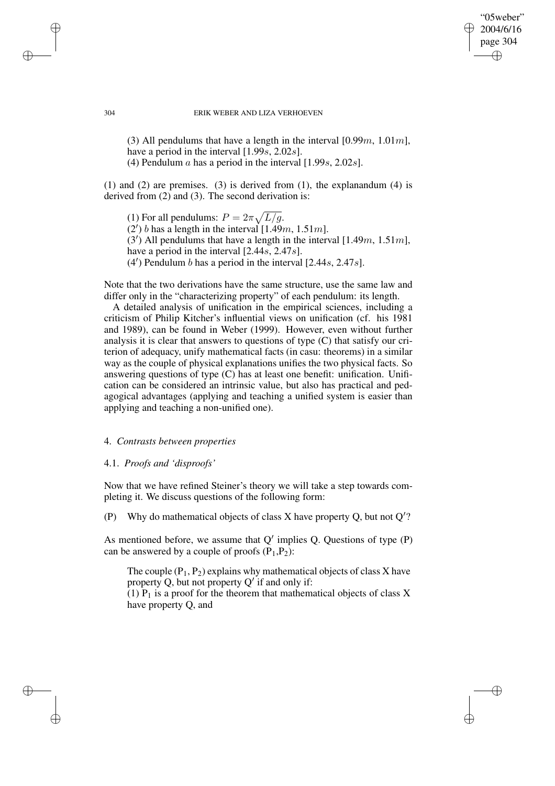✐

✐

#### 304 ERIK WEBER AND LIZA VERHOEVEN

(3) All pendulums that have a length in the interval  $[0.99m, 1.01m]$ , have a period in the interval [1.99s, 2.02s]. (4) Pendulum  $a$  has a period in the interval  $[1.99s, 2.02s]$ .

(1) and (2) are premises. (3) is derived from (1), the explanandum (4) is derived from (2) and (3). The second derivation is:

(1) For all pendulums:  $P = 2\pi \sqrt{L/g}$ . (2) b has a length in the interval [1.49m, 1.51m].  $(3')$  All pendulums that have a length in the interval [1.49*m*, 1.51*m*], have a period in the interval [2.44s, 2.47s].  $(4')$  Pendulum b has a period in the interval [2.44s, 2.47s].

Note that the two derivations have the same structure, use the same law and differ only in the "characterizing property" of each pendulum: its length.

A detailed analysis of unification in the empirical sciences, including a criticism of Philip Kitcher's influential views on unification (cf. his 1981 and 1989), can be found in Weber (1999). However, even without further analysis it is clear that answers to questions of type (C) that satisfy our criterion of adequacy, unify mathematical facts (in casu: theorems) in a similar way as the couple of physical explanations unifies the two physical facts. So answering questions of type (C) has at least one benefit: unification. Unification can be considered an intrinsic value, but also has practical and pedagogical advantages (applying and teaching a unified system is easier than applying and teaching a non-unified one).

#### 4. *Contrasts between properties*

#### 4.1. *Proofs and 'disproofs'*

Now that we have refined Steiner's theory we will take a step towards completing it. We discuss questions of the following form:

(P) Why do mathematical objects of class X have property Q, but not  $Q'$ ?

As mentioned before, we assume that  $Q'$  implies Q. Questions of type  $(P)$ can be answered by a couple of proofs  $(P_1, P_2)$ :

The couple  $(P_1, P_2)$  explains why mathematical objects of class X have property Q, but not property  $Q'$  if and only if:

(1)  $P_1$  is a proof for the theorem that mathematical objects of class X have property Q, and

✐

✐

✐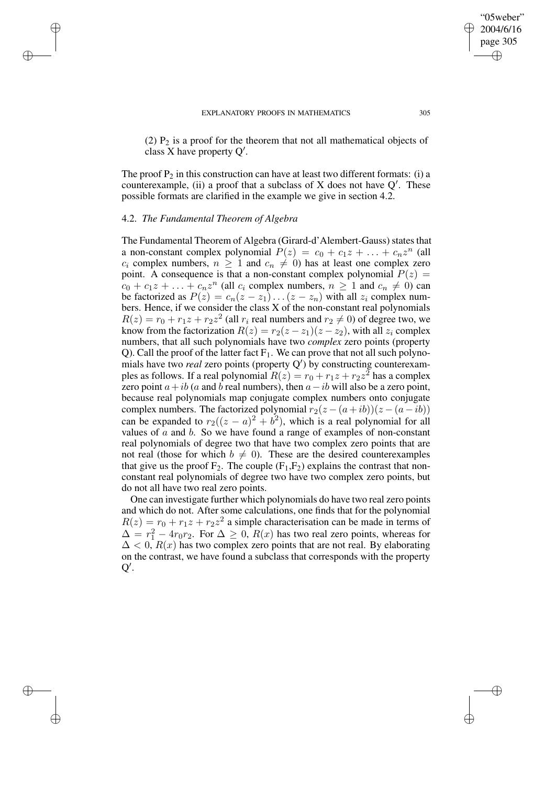#### EXPLANATORY PROOFS IN MATHEMATICS 305

(2)  $P_2$  is a proof for the theorem that not all mathematical objects of class X have property  $Q'$ .

The proof  $P_2$  in this construction can have at least two different formats: (i) a counterexample, (ii) a proof that a subclass of X does not have  $Q'$ . These possible formats are clarified in the example we give in section 4.2.

## 4.2. *The Fundamental Theorem of Algebra*

✐

✐

✐

✐

The Fundamental Theorem of Algebra (Girard-d'Alembert-Gauss) states that a non-constant complex polynomial  $P(z) = c_0 + c_1 z + \ldots + c_n z^n$  (all  $c_i$  complex numbers,  $n \geq 1$  and  $c_n \neq 0$ ) has at least one complex zero point. A consequence is that a non-constant complex polynomial  $P(z) =$  $c_0 + c_1 z + \ldots + c_n z^n$  (all  $c_i$  complex numbers,  $n \ge 1$  and  $c_n \ne 0$ ) can be factorized as  $P(z) = c_n(z - z_1) \dots (z - z_n)$  with all  $z_i$  complex numbers. Hence, if we consider the class X of the non-constant real polynomials  $R(z) = r_0 + r_1 z + r_2 z^2$  (all  $r_i$  real numbers and  $r_2 \neq 0$ ) of degree two, we know from the factorization  $R(z) = r_2(z - z_1)(z - z_2)$ , with all  $z_i$  complex numbers, that all such polynomials have two *complex* zero points (property Q). Call the proof of the latter fact  $F_1$ . We can prove that not all such polynomials have two *real* zero points (property Q 0 ) by constructing counterexamples as follows. If a real polynomial  $R(z) = r_0 + r_1z + r_2z^2$  has a complex zero point  $a+ib$  (a and b real numbers), then  $a-ib$  will also be a zero point, because real polynomials map conjugate complex numbers onto conjugate complex numbers. The factorized polynomial  $r_2(z - (a+ib))(z - (a-ib))$ can be expanded to  $r_2((z-a)^2 + b^2)$ , which is a real polynomial for all values of  $\alpha$  and  $\beta$ . So we have found a range of examples of non-constant real polynomials of degree two that have two complex zero points that are not real (those for which  $b \neq 0$ ). These are the desired counterexamples that give us the proof  $F_2$ . The couple  $(F_1,F_2)$  explains the contrast that nonconstant real polynomials of degree two have two complex zero points, but do not all have two real zero points.

One can investigate further which polynomials do have two real zero points and which do not. After some calculations, one finds that for the polynomial  $R(z) = r_0 + r_1 z + r_2 z^2$  a simple characterisation can be made in terms of  $\Delta = r_1^2 - 4r_0r_2$ . For  $\Delta \geq 0$ ,  $R(x)$  has two real zero points, whereas for  $\Delta < 0$ ,  $R(x)$  has two complex zero points that are not real. By elaborating on the contrast, we have found a subclass that corresponds with the property  $\overline{Q'}$ .

✐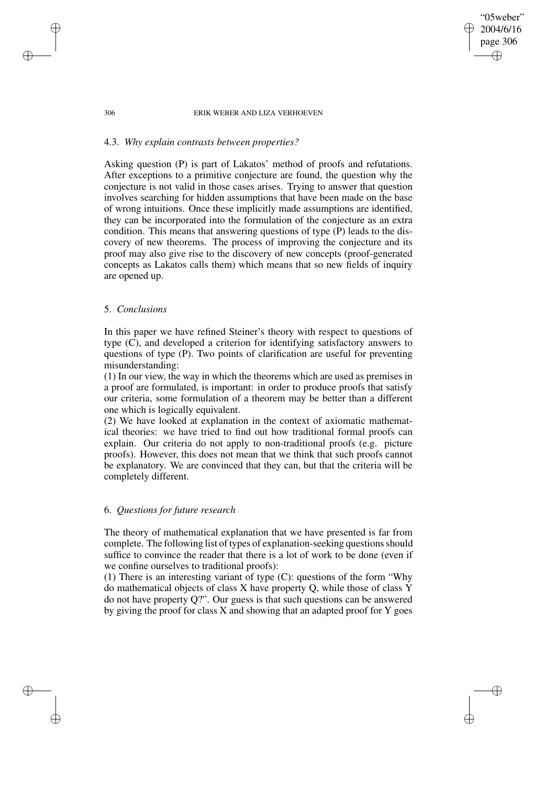#### 306 ERIK WEBER AND LIZA VERHOEVEN

"05weber" 2004/6/16 page 306

✐

✐

✐

✐

## 4.3. *Why explain contrasts between properties?*

Asking question (P) is part of Lakatos' method of proofs and refutations. After exceptions to a primitive conjecture are found, the question why the conjecture is not valid in those cases arises. Trying to answer that question involves searching for hidden assumptions that have been made on the base of wrong intuitions. Once these implicitly made assumptions are identified, they can be incorporated into the formulation of the conjecture as an extra condition. This means that answering questions of type (P) leads to the discovery of new theorems. The process of improving the conjecture and its proof may also give rise to the discovery of new concepts (proof-generated concepts as Lakatos calls them) which means that so new fields of inquiry are opened up.

## 5. *Conclusions*

In this paper we have refined Steiner's theory with respect to questions of type (C), and developed a criterion for identifying satisfactory answers to questions of type (P). Two points of clarification are useful for preventing misunderstanding:

(1) In our view, the way in which the theorems which are used as premises in a proof are formulated, is important: in order to produce proofs that satisfy our criteria, some formulation of a theorem may be better than a different one which is logically equivalent.

(2) We have looked at explanation in the context of axiomatic mathematical theories: we have tried to find out how traditional formal proofs can explain. Our criteria do not apply to non-traditional proofs (e.g. picture proofs). However, this does not mean that we think that such proofs cannot be explanatory. We are convinced that they can, but that the criteria will be completely different.

## 6. *Questions for future research*

The theory of mathematical explanation that we have presented is far from complete. The following list of types of explanation-seeking questions should suffice to convince the reader that there is a lot of work to be done (even if we confine ourselves to traditional proofs):

(1) There is an interesting variant of type (C): questions of the form "Why do mathematical objects of class X have property Q, while those of class Y do not have property Q?". Our guess is that such questions can be answered by giving the proof for class X and showing that an adapted proof for Y goes

✐

✐

✐